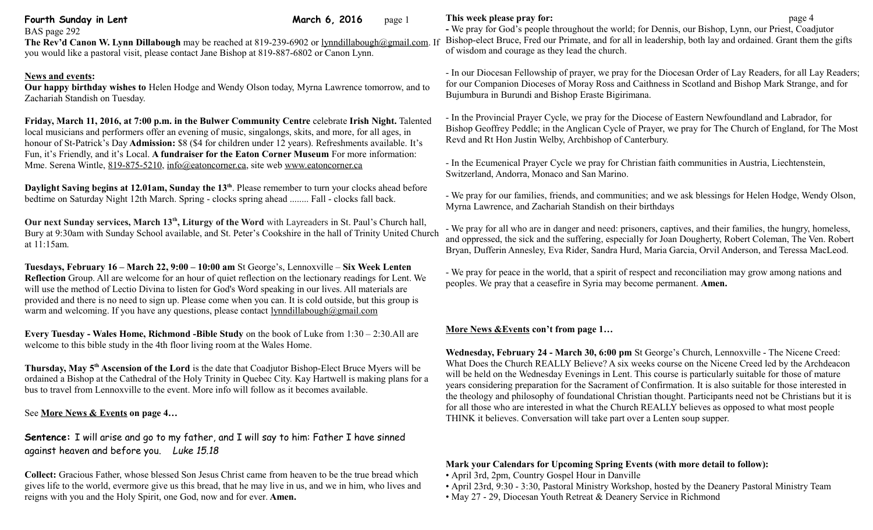| Fourth Sunday in Lent<br>March 6, 2016<br>page 1<br>BAS page 292                                                                                                                                                                                                                                                                                                                                                                                                                                                           | This week please pray for:<br>page 4<br>- We pray for God's people throughout the world; for Dennis, our Bishop, Lynn, our Priest, Coad                                                                                                                     |
|----------------------------------------------------------------------------------------------------------------------------------------------------------------------------------------------------------------------------------------------------------------------------------------------------------------------------------------------------------------------------------------------------------------------------------------------------------------------------------------------------------------------------|-------------------------------------------------------------------------------------------------------------------------------------------------------------------------------------------------------------------------------------------------------------|
| The Rev'd Canon W. Lynn Dillabough may be reached at 819-239-6902 or lynndillabough@gmail.com. I                                                                                                                                                                                                                                                                                                                                                                                                                           | Bishop-elect Bruce, Fred our Primate, and for all in leadership, both lay and ordained. Grant then                                                                                                                                                          |
| you would like a pastoral visit, please contact Jane Bishop at 819-887-6802 or Canon Lynn.                                                                                                                                                                                                                                                                                                                                                                                                                                 | of wisdom and courage as they lead the church.                                                                                                                                                                                                              |
| <b>News and events:</b>                                                                                                                                                                                                                                                                                                                                                                                                                                                                                                    | - In our Diocesan Fellowship of prayer, we pray for the Diocesan Order of Lay Readers, for all L                                                                                                                                                            |
| Our happy birthday wishes to Helen Hodge and Wendy Olson today, Myrna Lawrence tomorrow, and to                                                                                                                                                                                                                                                                                                                                                                                                                            | for our Companion Dioceses of Moray Ross and Caithness in Scotland and Bishop Mark Strange                                                                                                                                                                  |
| Zachariah Standish on Tuesday.                                                                                                                                                                                                                                                                                                                                                                                                                                                                                             | Bujumbura in Burundi and Bishop Eraste Bigirimana.                                                                                                                                                                                                          |
| Friday, March 11, 2016, at 7:00 p.m. in the Bulwer Community Centre celebrate Irish Night. Talented<br>local musicians and performers offer an evening of music, singalongs, skits, and more, for all ages, in<br>honour of St-Patrick's Day Admission: \$8 (\$4 for children under 12 years). Refreshments available. It's<br>Fun, it's Friendly, and it's Local. A fundraiser for the Eaton Corner Museum For more information:<br>Mme. Serena Wintle, 819-875-5210, info@eatoncorner.ca, site web www.eatoncorner.ca    | - In the Provincial Prayer Cycle, we pray for the Diocese of Eastern Newfoundland and Labrador<br>Bishop Geoffrey Peddle; in the Anglican Cycle of Prayer, we pray for The Church of England, fo<br>Revd and Rt Hon Justin Welby, Archbishop of Canterbury. |
|                                                                                                                                                                                                                                                                                                                                                                                                                                                                                                                            | - In the Ecumenical Prayer Cycle we pray for Christian faith communities in Austria, Liechtenste<br>Switzerland, Andorra, Monaco and San Marino.                                                                                                            |
| Daylight Saving begins at 12.01am, Sunday the 13 <sup>th</sup> . Please remember to turn your clocks ahead before                                                                                                                                                                                                                                                                                                                                                                                                          | - We pray for our families, friends, and communities; and we ask blessings for Helen Hodge, Wei                                                                                                                                                             |
| bedtime on Saturday Night 12th March. Spring - clocks spring ahead  Fall - clocks fall back.                                                                                                                                                                                                                                                                                                                                                                                                                               | Myrna Lawrence, and Zachariah Standish on their birthdays                                                                                                                                                                                                   |
| Our next Sunday services, March 13 <sup>th</sup> , Liturgy of the Word with Layreaders in St. Paul's Church hall,                                                                                                                                                                                                                                                                                                                                                                                                          | - We pray for all who are in danger and need: prisoners, captives, and their families, the hungry, b                                                                                                                                                        |
| Bury at 9:30am with Sunday School available, and St. Peter's Cookshire in the hall of Trinity United Church                                                                                                                                                                                                                                                                                                                                                                                                                | and oppressed, the sick and the suffering, especially for Joan Dougherty, Robert Coleman, The Vo                                                                                                                                                            |
| at 11:15am.                                                                                                                                                                                                                                                                                                                                                                                                                                                                                                                | Bryan, Dufferin Annesley, Eva Rider, Sandra Hurd, Maria Garcia, Orvil Anderson, and Teressa M                                                                                                                                                               |
| Tuesdays, February 16 – March 22, 9:00 – 10:00 am St George's, Lennoxville – Six Week Lenten<br>Reflection Group. All are welcome for an hour of quiet reflection on the lectionary readings for Lent. We<br>will use the method of Lectio Divina to listen for God's Word speaking in our lives. All materials are<br>provided and there is no need to sign up. Please come when you can. It is cold outside, but this group is<br>warm and welcoming. If you have any questions, please contact lynndillabough@gmail.com | - We pray for peace in the world, that a spirit of respect and reconciliation may grow among nation<br>peoples. We pray that a ceasefire in Syria may become permanent. Amen.                                                                               |

**Every Tuesday - Wales Home, Richmond -Bible Study** on the book of Luke from 1:30 – 2:30.All are welcome to this bible study in the 4th floor living room at the Wales Home.

**Thursday, May 5th Ascension of the Lord** is the date that Coadjutor Bishop-Elect Bruce Myers will be ordained a Bishop at the Cathedral of the Holy Trinity in Quebec City. Kay Hartwell is making plans for a bus to travel from Lennoxville to the event. More info will follow as it becomes available.

See **More News & Events on page 4…**

**Sentence:** I will arise and go to my father, and I will say to him: Father I have sinned against heaven and before you. *Luke 15.18*

**Collect:** Gracious Father, whose blessed Son Jesus Christ came from heaven to be the true bread which gives life to the world, evermore give us this bread, that he may live in us, and we in him, who lives and reigns with you and the Holy Spirit, one God, now and for ever. **Amen.**

r Dennis, our Bishop, Lynn, our Priest, Coadjutor leadership, both lay and ordained. Grant them the gifts

the Diocesan Order of Lay Readers, for all Lay Readers; ithness in Scotland and Bishop Mark Strange, and for Bujumbura in Burundi and Bishop Eraste Bigirimana.

cese of Eastern Newfoundland and Labrador, for rayer, we pray for The Church of England, for The Most Revd and Rt Hon Justin Welby, Archbishop of Canterbury.

; and we ask blessings for Helen Hodge, Wendy Olson, rthdays

ers, captives, and their families, the hungry, homeless, for Joan Dougherty, Robert Coleman, The Ven. Robert Maria Garcia, Orvil Anderson, and Teressa MacLeod.

ect and reconciliation may grow among nations and ne permanent. **Amen.** 

## **More News &Events con't from page 1…**

**Wednesday, February 24 - March 30, 6:00 pm** St George's Church, Lennoxville - The Nicene Creed: What Does the Church REALLY Believe? A six weeks course on the Nicene Creed led by the Archdeacon will be held on the Wednesday Evenings in Lent. This course is particularly suitable for those of mature years considering preparation for the Sacrament of Confirmation. It is also suitable for those interested in the theology and philosophy of foundational Christian thought. Participants need not be Christians but it is for all those who are interested in what the Church REALLY believes as opposed to what most people THINK it believes. Conversation will take part over a Lenten soup supper.

## **Mark your Calendars for Upcoming Spring Events (with more detail to follow):**

- April 3rd, 2pm, Country Gospel Hour in Danville
- April 23rd, 9:30 3:30, Pastoral Ministry Workshop, hosted by the Deanery Pastoral Ministry Team
- May 27 29, Diocesan Youth Retreat & Deanery Service in Richmond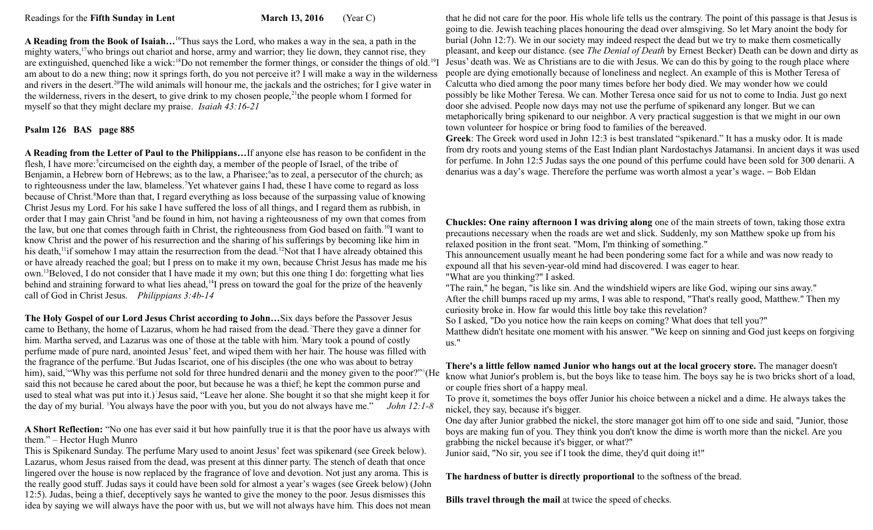**A Reading from the Book of Isaiah…**<sup>16</sup>Thus says the Lord, who makes a way in the sea, a path in the mighty waters,<sup>17</sup>who brings out chariot and horse, army and warrior; they lie down, they cannot rise, they are extinguished, quenched like a wick:<sup>18</sup>Do not remember the former things, or consider the things of old.<sup>19</sup>I Jesus' death was. We as Christians are to die with Jesus. We can do this by going to the rough place where am about to do a new thing; now it springs forth, do you not perceive it? I will make a way in the wilderness and rivers in the desert.<sup>20</sup>The wild animals will honour me, the jackals and the ostriches; for I give water in the wilderness, rivers in the desert, to give drink to my chosen people,<sup>21</sup>the people whom I formed for myself so that they might declare my praise. *Isaiah 43:16-21*

## **Psalm 126 BAS page 885**

**A Reading from the Letter of Paul to the Philippians…**If anyone else has reason to be confident in the flesh, I have more:<sup>5</sup> circumcised on the eighth day, a member of the people of Israel, of the tribe of Benjamin, a Hebrew born of Hebrews; as to the law, a Pharisee; as to zeal, a persecutor of the church; as to righteousness under the law, blameless.<sup>7</sup>Yet whatever gains I had, these I have come to regard as loss because of Christ.<sup>8</sup>More than that, I regard everything as loss because of the surpassing value of knowing Christ Jesus my Lord. For his sake I have suffered the loss of all things, and I regard them as rubbish, in order that I may gain Christ <sup>9</sup> and be found in him, not having a righteousness of my own that comes from the law, but one that comes through faith in Christ, the righteousness from God based on faith.<sup>10</sup>I want to know Christ and the power of his resurrection and the sharing of his sufferings by becoming like him in his death,<sup>11</sup>if somehow I may attain the resurrection from the dead.<sup>12</sup>Not that I have already obtained this or have already reached the goal; but I press on to make it my own, because Christ Jesus has made me his own.<sup>13</sup>Beloved, I do not consider that I have made it my own; but this one thing I do: forgetting what lies behind and straining forward to what lies ahead,<sup>14</sup>I press on toward the goal for the prize of the heavenly call of God in Christ Jesus. *Philippians 3:4b-14* 

**The Holy Gospel of our Lord Jesus Christ according to John…**Six days before the Passover Jesus came to Bethany, the home of Lazarus, whom he had raised from the dead.<sup>2</sup>There they gave a dinner for him. Martha served, and Lazarus was one of those at the table with him.<sup>3</sup>Mary took a pound of costly perfume made of pure nard, anointed Jesus' feet, and wiped them with her hair. The house was filled with the fragrance of the perfume.<sup>4</sup>But Judas Iscariot, one of his disciples (the one who was about to betray him), said,<sup>5</sup> "Why was this perfume not sold for three hundred denarii and the money given to the poor?"<sup>6</sup>(He said this not because he cared about the poor, but because he was a thief; he kept the common purse and used to steal what was put into it.)<sup>7</sup> Jesus said, "Leave her alone. She bought it so that she might keep it for the day of my burial. <sup>8</sup>You always have the poor with you, but you do not always have me." *John 12:1-8*

**A Short Reflection:** "No one has ever said it but how painfully true it is that the poor have us always with them." – Hector Hugh Munro

This is Spikenard Sunday. The perfume Mary used to anoint Jesus' feet was spikenard (see Greek below). Lazarus, whom Jesus raised from the dead, was present at this dinner party. The stench of death that once lingered over the house is now replaced by the fragrance of love and devotion. Not just any aroma. This is the really good stuff. Judas says it could have been sold for almost a year's wages (see Greek below) (John 12:5). Judas, being a thief, deceptively says he wanted to give the money to the poor. Jesus dismisses this idea by saying we will always have the poor with us, but we will not always have him. This does not mean that he did not care for the poor. His whole life tells us the contrary. The point of this passage is that Jesus is going to die. Jewish teaching places honouring the dead over almsgiving. So let Mary anoint the body for burial (John 12:7). We in our society may indeed respect the dead but we try to make them cosmetically pleasant, and keep our distance. (see *The Denial of Death* by Ernest Becker) Death can be down and dirty as people are dying emotionally because of loneliness and neglect. An example of this is Mother Teresa of Calcutta who died among the poor many times before her body died. We may wonder how we could possibly be like Mother Teresa. We can. Mother Teresa once said for us not to come to India. Just go next door she advised. People now days may not use the perfume of spikenard any longer. But we can metaphorically bring spikenard to our neighbor. A very practical suggestion is that we might in our own town volunteer for hospice or bring food to families of the bereaved.

**Greek**: The Greek word used in John 12:3 is best translated "spikenard." It has a musky odor. It is made from dry roots and young stems of the East Indian plant Nardostachys Jatamansi. In ancient days it was used for perfume. In John 12:5 Judas says the one pound of this perfume could have been sold for 300 denarii. A denarius was a day's wage. Therefore the perfume was worth almost a year's wage. – Bob Eldan

**Chuckles: One rainy afternoon I was driving along** one of the main streets of town, taking those extra precautions necessary when the roads are wet and slick. Suddenly, my son Matthew spoke up from his relaxed position in the front seat. "Mom, I'm thinking of something."

This announcement usually meant he had been pondering some fact for a while and was now ready to expound all that his seven-year-old mind had discovered. I was eager to hear.

"What are you thinking?" I asked.

"The rain," he began, "is like sin. And the windshield wipers are like God, wiping our sins away." After the chill bumps raced up my arms, I was able to respond, "That's really good, Matthew." Then my curiosity broke in. How far would this little boy take this revelation?

So I asked, "Do you notice how the rain keeps on coming? What does that tell you?"

Matthew didn't hesitate one moment with his answer. "We keep on sinning and God just keeps on forgiving us."

**There's a little fellow named Junior who hangs out at the local grocery store.** The manager doesn't

know what Junior's problem is, but the boys like to tease him. The boys say he is two bricks short of a load, or couple fries short of a happy meal.

To prove it, sometimes the boys offer Junior his choice between a nickel and a dime. He always takes the nickel, they say, because it's bigger.

One day after Junior grabbed the nickel, the store manager got him off to one side and said, "Junior, those boys are making fun of you. They think you don't know the dime is worth more than the nickel. Are you grabbing the nickel because it's bigger, or what?"

Junior said, "No sir, you see if I took the dime, they'd quit doing it!"

**The hardness of butter is directly proportional** to the softness of the bread.

**Bills travel through the mail** at twice the speed of checks.